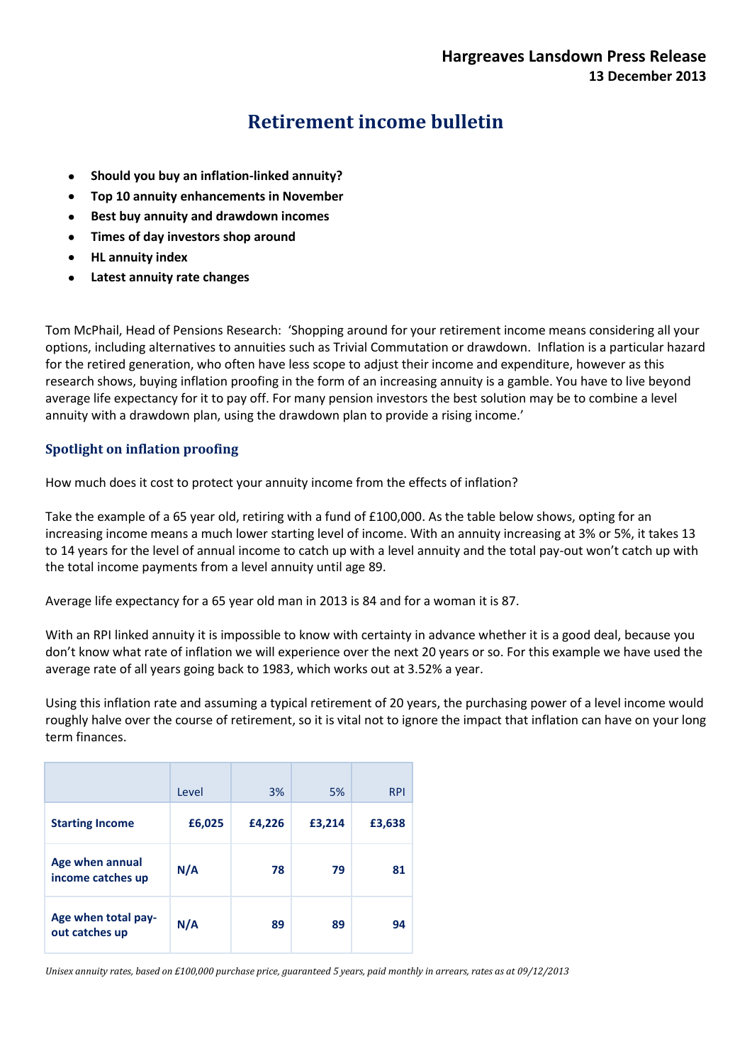# **Retirement income bulletin**

- **Should you buy an inflation-linked annuity?**
- **Top 10 annuity enhancements in November**
- **Best buy annuity and drawdown incomes**
- **Times of day investors shop around**
- **HL annuity index**
- **Latest annuity rate changes**

Tom McPhail, Head of Pensions Research: 'Shopping around for your retirement income means considering all your options, including alternatives to annuities such as Trivial Commutation or drawdown. Inflation is a particular hazard for the retired generation, who often have less scope to adjust their income and expenditure, however as this research shows, buying inflation proofing in the form of an increasing annuity is a gamble. You have to live beyond average life expectancy for it to pay off. For many pension investors the best solution may be to combine a level annuity with a drawdown plan, using the drawdown plan to provide a rising income.'

## **Spotlight on inflation proofing**

How much does it cost to protect your annuity income from the effects of inflation?

Take the example of a 65 year old, retiring with a fund of £100,000. As the table below shows, opting for an increasing income means a much lower starting level of income. With an annuity increasing at 3% or 5%, it takes 13 to 14 years for the level of annual income to catch up with a level annuity and the total pay-out won't catch up with the total income payments from a level annuity until age 89.

Average life expectancy for a 65 year old man in 2013 is 84 and for a woman it is 87.

With an RPI linked annuity it is impossible to know with certainty in advance whether it is a good deal, because you don't know what rate of inflation we will experience over the next 20 years or so. For this example we have used the average rate of all years going back to 1983, which works out at 3.52% a year.

Using this inflation rate and assuming a typical retirement of 20 years, the purchasing power of a level income would roughly halve over the course of retirement, so it is vital not to ignore the impact that inflation can have on your long term finances.

|                                       | Level  | 3%     | 5%     | <b>RPI</b> |
|---------------------------------------|--------|--------|--------|------------|
| <b>Starting Income</b>                | £6,025 | £4,226 | £3,214 | £3,638     |
| Age when annual<br>income catches up  | N/A    | 78     | 79     | 81         |
| Age when total pay-<br>out catches up | N/A    | 89     | 89     | 94         |

*Unisex annuity rates, based on £100,000 purchase price, guaranteed 5 years, paid monthly in arrears, rates as at 09/12/2013*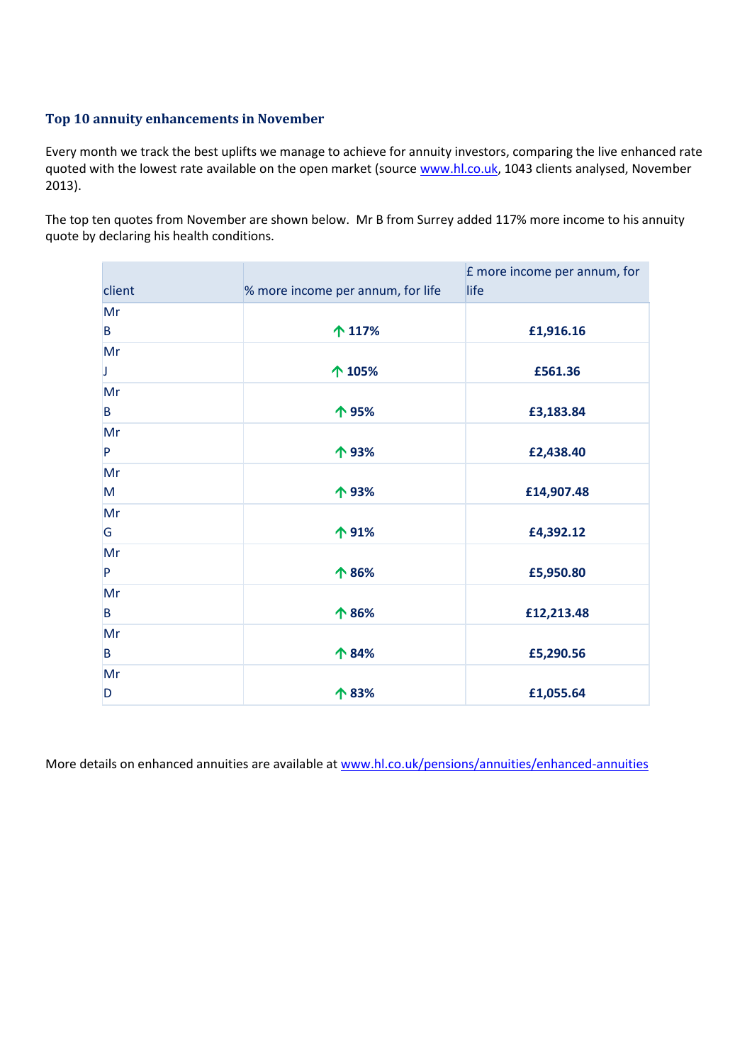## **Top 10 annuity enhancements in November**

Every month we track the best uplifts we manage to achieve for annuity investors, comparing the live enhanced rate quoted with the lowest rate available on the open market (sourc[e www.hl.co.uk,](http://www.hl.co.uk/) 1043 clients analysed, November 2013).

The top ten quotes from November are shown below. Mr B from Surrey added 117% more income to his annuity quote by declaring his health conditions.

| client | % more income per annum, for life | E more income per annum, for<br>life |
|--------|-----------------------------------|--------------------------------------|
| Mr     |                                   |                                      |
| B      | 个 117%                            | £1,916.16                            |
| Mr     |                                   |                                      |
| J      | 个 105%                            | £561.36                              |
| Mr     |                                   |                                      |
| B      | 个 95%                             | £3,183.84                            |
| Mr     |                                   |                                      |
| P      | 个93%                              | £2,438.40                            |
| Mr     |                                   |                                      |
| M      | 个93%                              | £14,907.48                           |
| Mr     |                                   |                                      |
| G      | 个91%                              | £4,392.12                            |
| Mr     |                                   |                                      |
| P      | 个 86%                             | £5,950.80                            |
| Mr     |                                   |                                      |
| B      | 个 86%                             | £12,213.48                           |
| Mr     |                                   |                                      |
| B      | 个 84%                             | £5,290.56                            |
| Mr     |                                   |                                      |
| D      | 个 83%                             | £1,055.64                            |

More details on enhanced annuities are available at [www.hl.co.uk/pensions/annuities/enhanced-annuities](http://www.hl.co.uk/pensions/annuities/enhanced-annuities)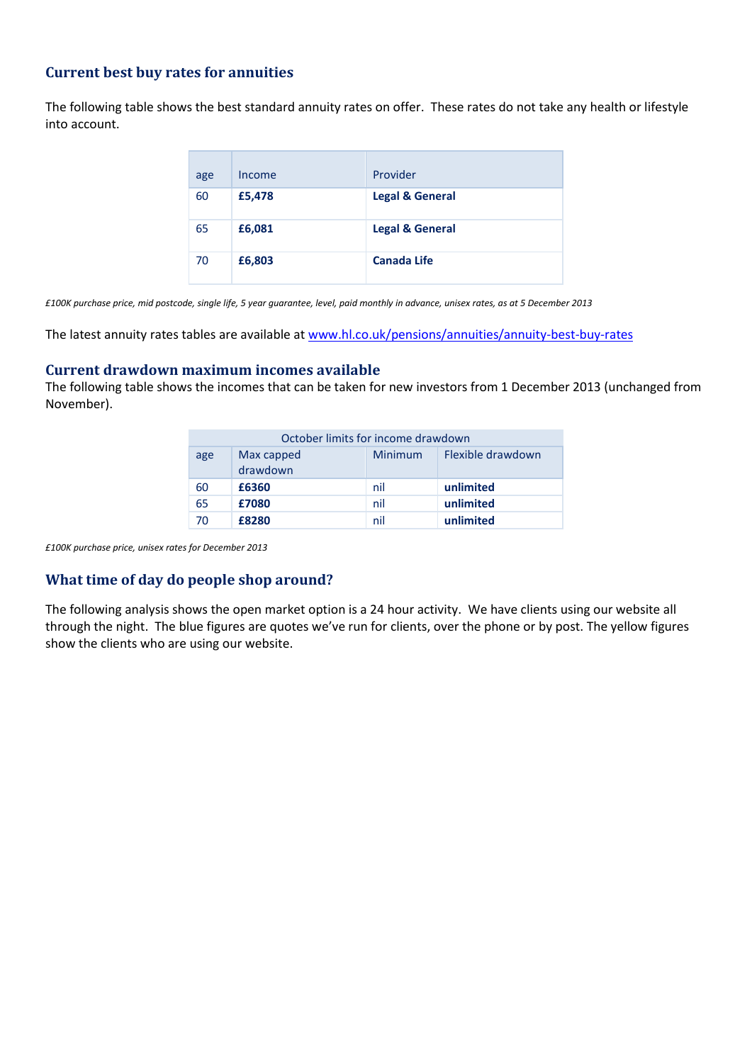## **Current best buy rates for annuities**

The following table shows the best standard annuity rates on offer. These rates do not take any health or lifestyle into account.

| age | Income | Provider                   |
|-----|--------|----------------------------|
| 60  | £5,478 | <b>Legal &amp; General</b> |
| 65  | £6,081 | <b>Legal &amp; General</b> |
| 70  | £6,803 | <b>Canada Life</b>         |

*£100K purchase price, mid postcode, single life, 5 year guarantee, level, paid monthly in advance, unisex rates, as at 5 December 2013*

The latest annuity rates tables are available at [www.hl.co.uk/pensions/annuities/annuity-best-buy-rates](http://www.hl.co.uk/pensions/annuities/annuity-best-buy-rates)

#### **Current drawdown maximum incomes available**

The following table shows the incomes that can be taken for new investors from 1 December 2013 (unchanged from November).

|     | October limits for income drawdown |         |                   |
|-----|------------------------------------|---------|-------------------|
| age | Max capped<br>drawdown             | Minimum | Flexible drawdown |
| 60  | £6360                              | nil     | unlimited         |
| 65  | £7080                              | nil     | unlimited         |
| 70  | £8280                              | nil     | unlimited         |

*£100K purchase price, unisex rates for December 2013*

### **What time of day do people shop around?**

The following analysis shows the open market option is a 24 hour activity. We have clients using our website all through the night. The blue figures are quotes we've run for clients, over the phone or by post. The yellow figures show the clients who are using our website.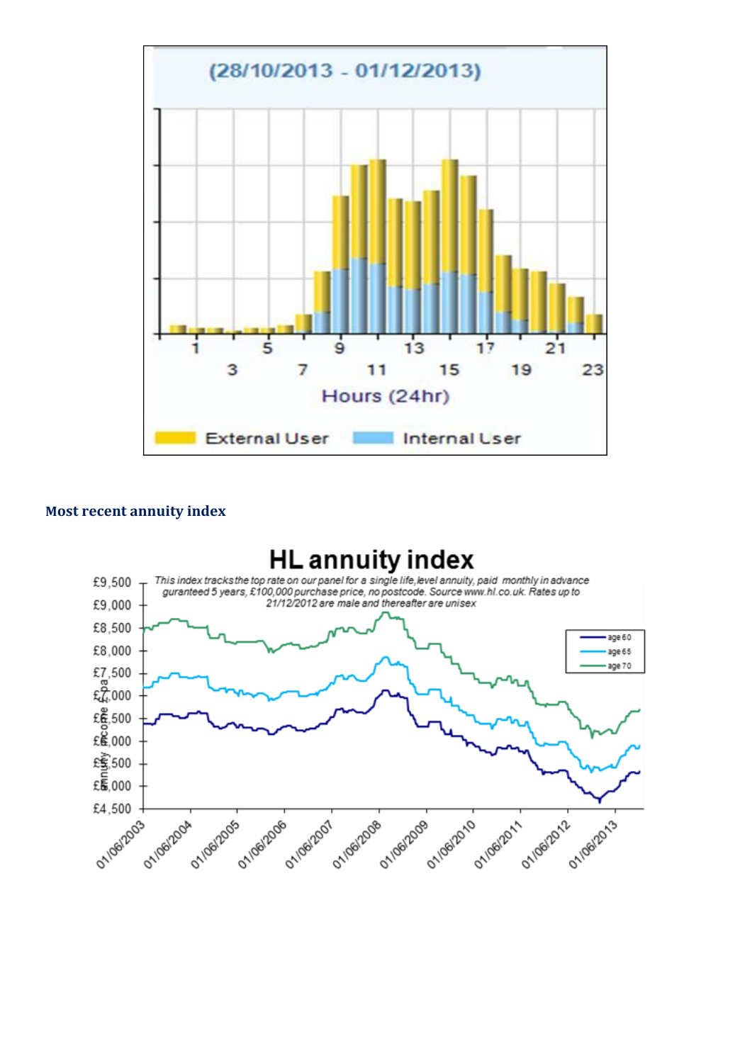

## **Most recent annuity index**

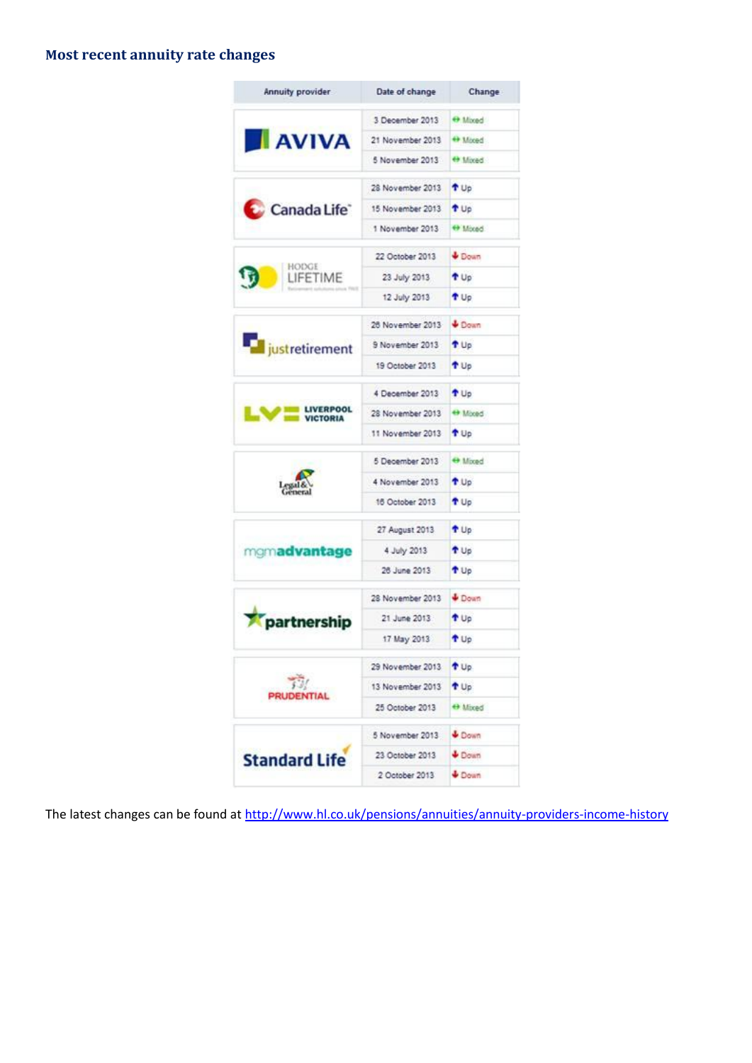## **Most recent annuity rate changes**

| Annuity provider                    | Date of change                                                                                                                                                                                                                         | Change          |
|-------------------------------------|----------------------------------------------------------------------------------------------------------------------------------------------------------------------------------------------------------------------------------------|-----------------|
| AVIVA                               | 3 December 2013                                                                                                                                                                                                                        | O Mixed         |
|                                     | 21 November 2013                                                                                                                                                                                                                       | + Mored         |
|                                     | 5 November 2013                                                                                                                                                                                                                        | the Mored       |
|                                     | 28 November 2013                                                                                                                                                                                                                       | T Up            |
| Canada Life <sup>®</sup>            | 15 November 2013                                                                                                                                                                                                                       | <sup>t</sup> Up |
|                                     | 1 November 2013                                                                                                                                                                                                                        | <b>Osxit O</b>  |
|                                     | 22 October 2013                                                                                                                                                                                                                        | <b>Down</b>     |
| HODGE<br>LIFETIME                   | 23 July 2013                                                                                                                                                                                                                           | <sup>t</sup> Up |
|                                     | 12 July 2013                                                                                                                                                                                                                           | T Up            |
|                                     | 26 November 2013                                                                                                                                                                                                                       | <b>Down</b>     |
| <b>The just retirement</b>          | 9 November 2013                                                                                                                                                                                                                        | T Up            |
|                                     | 19 October 2013                                                                                                                                                                                                                        | <sup>1</sup> Up |
|                                     | 4 December 2013                                                                                                                                                                                                                        | + Up            |
| <b>LIVERPOOL</b><br><b>VICTORIA</b> | 28 November 2013                                                                                                                                                                                                                       | <b>Hildred</b>  |
|                                     | 11 November 2013                                                                                                                                                                                                                       | T Up            |
|                                     | 5 December 2013                                                                                                                                                                                                                        | O Mixed         |
|                                     | 4 November 2013                                                                                                                                                                                                                        | <sup>t</sup> Up |
|                                     | 16 October 2013<br>27 August 2013<br>4 July 2013<br>26 June 2013<br>28 November 2013<br>21 June 2013<br>17 May 2013<br>29 November 2013<br>13 November 2013<br>25 October 2013<br>5 November 2013<br>23 October 2013<br>2 October 2013 | <sup>t</sup> Up |
|                                     |                                                                                                                                                                                                                                        | + Up            |
| mgmadvantage                        |                                                                                                                                                                                                                                        | <sup>+</sup> Up |
|                                     |                                                                                                                                                                                                                                        | t Up            |
|                                     |                                                                                                                                                                                                                                        | <b>Down</b>     |
| partnership                         |                                                                                                                                                                                                                                        | t Up            |
|                                     |                                                                                                                                                                                                                                        | t Up            |
|                                     |                                                                                                                                                                                                                                        | <sup>t</sup> Up |
|                                     |                                                                                                                                                                                                                                        | T Up            |
| PRUDENTIAL                          |                                                                                                                                                                                                                                        | + Mixed         |
|                                     |                                                                                                                                                                                                                                        | <b>Down</b>     |
| <b>Standard Life</b>                |                                                                                                                                                                                                                                        | <b>Down</b>     |
|                                     |                                                                                                                                                                                                                                        | Down            |

The latest changes can be found at<http://www.hl.co.uk/pensions/annuities/annuity-providers-income-history>